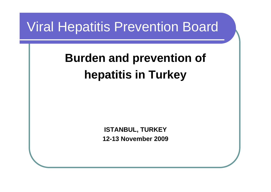#### Viral Hepatitis Prevention Board

## **Burden and prevention of hepatitis in Turkey**

**ISTANBUL, TURKEY 12-13 November 2009**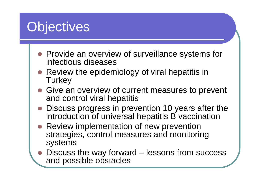## **Objectives**

- Provide an overview of surveillance systems for infectious diseases
- Review the epidemiology of viral hepatitis in **Turkey**
- Give an overview of current measures to prevent and control viral hepatitis
- Discuss progress in prevention 10 years after the introduction of universal hepatitis B vaccination
- Review implementation of new prevention strategies, control measures and monitoring systems
- $\bullet$  Discuss the way forward – lessons from success and possible obstacles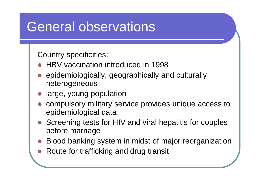#### General observations

Country specificities:

- O HBV vaccination introduced in 1998
- $\bullet$  epidemiologically, geographically and culturally heterogeneous
- zlarge, young population
- $\bullet$  compulsory military service provides unique access to epidemiological data
- z Screening tests for HIV and viral hepatitis for couples before marriage
- $\bullet$ Blood banking system in midst of major reorganization
- zRoute for trafficking and drug transit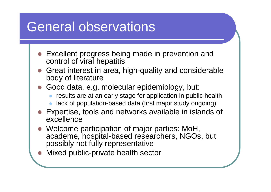#### General observations

- Excellent progress being made in prevention and control of viral hepatitis
- z Great interest in area, high-quality and considerable body of literature
- z Good data, e.g. molecular epidemiology, but:
	- $\bullet$ results are at an early stage for application in public health
	- $\bullet$ lack of population-based data (first major study ongoing)
- z Expertise, tools and networks available in islands of excellence
- z Welcome participation of major parties: MoH, academe, hospital-based researchers, NGOs, but possibly not fully representative
- O Mixed public-private health sector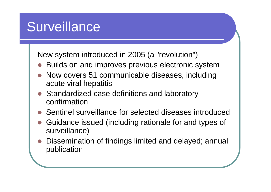## **Surveillance**

New system introduced in 2005 (a "revolution")

- O Builds on and improves previous electronic system
- $\bullet$  Now covers 51 communicable diseases, including acute viral hepatitis
- O Standardized case definitions and laboratory confirmation
- $\bullet$ Sentinel surveillance for selected diseases introduced
- z Guidance issued (including rationale for and types of surveillance)
- $\bullet$  Dissemination of findings limited and delayed; annual publication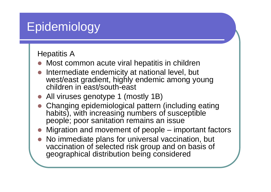#### Hepatitis A

- Most common acute viral hepatitis in children
- O Intermediate endemicity at national level, but west/east gradient, highly endemic among young children in east/south-east
- All viruses genotype 1 (mostly 1B)
- $\bullet$  Changing epidemiological pattern (including eating habits), with increasing numbers of susceptible people; poor sanitation remains an issue
- $\bullet$ Migration and movement of people – important factors
- O No immediate plans for universal vaccination, but vaccination of selected risk group and on basis of geographical distribution being considered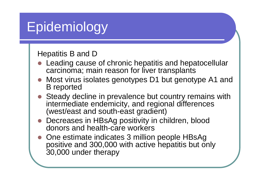#### Hepatitis B and D

- Leading cause of chronic hepatitis and hepatocellular carcinoma; main reason for liver transplants
- Most virus isolates genotypes D1 but genotype A1 and B reported
- Steady decline in prevalence but country remains with intermediate endemicity, and regional differences (west/east and south-east gradient)
- Decreases in HBsAg positivity in children, blood donors and health-care workers
- One estimate indicates 3 million people HBsAg positive and 300,000 with active hepatitis but only 30,000 under therapy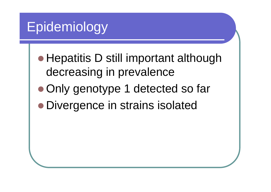- Hepatitis D still important although decreasing in prevalence
- Only genotype 1 detected so far
- Divergence in strains isolated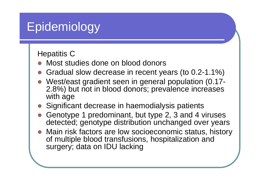#### Hepatitis C

- $\bullet$ Most studies done on blood donors
- O Gradual slow decrease in recent years (to 0.2-1.1%)
- z West/east gradient seen in general population (0.17- 2.8%) but not in blood donors; prevalence increases with age
- Significant decrease in haemodialysis patients
- $\bullet$  Genotype 1 predominant, but type 2, 3 and 4 viruses detected; genotype distribution unchanged over years
- O Main risk factors are low socioeconomic status, history of multiple blood transfusions, hospitalization and surgery; data on IDU lacking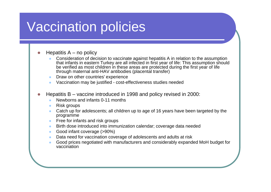## Vaccination policies

zHepatitis  $A - no$  policy

- z Consideration of decision to vaccinate against hepatitis A in relation to the assumption that infants in eastern Turkey are all infected in first year of life: This assumption should be verified as most children in these areas are protected during the first year of life through maternal anti-HAV antibodies (placental transfer)
- $\bullet$ Draw on other countries' experience
- zVaccination may be justified - cost-effectiveness studies needed
- z Hepatitis B – vaccine introduced in 1998 and policy revised in 2000:
	- zNewborns and infants 0-11 months
	- zRisk groups
	- $\bullet$  Catch up for adolescents; all children up to age of 16 years have been targeted by the programme
	- $\bullet$ Free for infants and risk groups
	- $\bullet$ Birth dose introduced into immunization calendar; coverage data needed
	- $\bullet$ Good infant coverage (>90%)
	- $\bullet$ Data need for vaccination coverage of adolescents and adults at risk
	- z Good prices negotiated with manufacturers and considerably expanded MoH budget for vaccination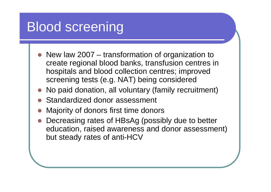## Blood screening

- $\bullet$  New law 2007 – transformation of organization to create regional blood banks, transfusion centres in hospitals and blood collection centres; improved screening tests (e.g. NAT) being considered
- zNo paid donation, all voluntary (family recruitment)
- O Standardized donor assessment
- zMajority of donors first time donors
- Decreasing rates of HBsAg (possibly due to better education, raised awareness and donor assessment) but steady rates of anti-HCV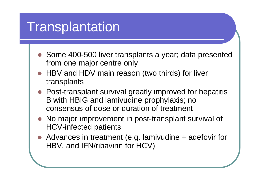## **Transplantation**

- Some 400-500 liver transplants a year; data presented from one major centre only
- HBV and HDV main reason (two thirds) for liver transplants
- Post-transplant survival greatly improved for hepatitis B with HBIG and lamivudine prophylaxis; no consensus of dose or duration of treatment
- No major improvement in post-transplant survival of HCV-infected patients
- Advances in treatment (e.g. lamivudine + adefovir for HBV, and IFN/ribavirin for HCV)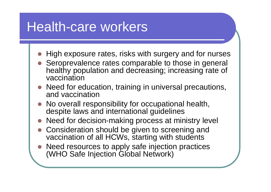## Health-care workers

- High exposure rates, risks with surgery and for nurses
- $\bullet$  Seroprevalence rates comparable to those in general healthy population and decreasing; increasing rate of vaccination
- Need for education, training in universal precautions, and vaccination
- $\bullet$  No overall responsibility for occupational health, despite laws and international guidelines
- Need for decision-making process at ministry level
- $\bullet$  Consideration should be given to screening and vaccination of all HCWs, starting with students
- O Need resources to apply safe injection practices (WHO Safe Injection Global Network)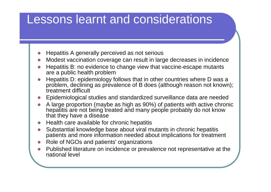#### Lessons learnt and considerations

- $\bullet$ Hepatitis A generally perceived as not serious
- O Modest vaccination coverage can result in large decreases in incidence
- **z**  Hepatitis B: no evidence to change view that vaccine-escape mutants are a public health problem
- O Hepatitis D: epidemiology follows that in other countries where D was a problem, declining as prevalence of B does (although reason not known); treatment difficult
- O Epidemiological studies and standardized surveillance data are needed
- **z**  A large proportion (maybe as high as 90%) of patients with active chronic hepatitis are not being treated and many people probably do not know that they have a disease
- $\bullet$ Health care available for chronic hepatitis
- O Substantial knowledge base about viral mutants in chronic hepatitis patients and more information needed about implications for treatment
- **z** Role of NGOs and patients' organizations
- O Published literature on incidence or prevalence not representative at the national level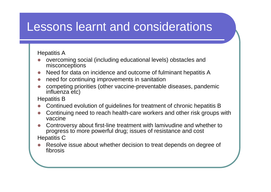#### Lessons learnt and considerations

#### Hepatitis A

- O overcoming social (including educational levels) obstacles and misconceptions
- **z** Need for data on incidence and outcome of fulminant hepatitis A
- O need for continuing improvements in sanitation
- O competing priorities (other vaccine-preventable diseases, pandemic influenza etc)
- Hepatitis B
- O Continued evolution of guidelines for treatment of chronic hepatitis B
- O Continuing need to reach health-care workers and other risk groups with vaccine
- $\bullet$  Controversy about first-line treatment with lamivudine and whether to progress to more powerful drug; issues of resistance and cost Hepatitis C
- O Resolve issue about whether decision to treat depends on degree of fibrosis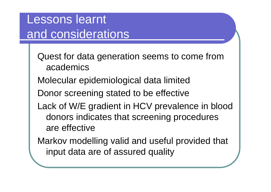#### Lessons learnt and considerations

- Quest for data generation seems to come from academics
- Molecular epidemiological data limited
- Donor screening stated to be effective
- Lack of W/E gradient in HCV prevalence in blood donors indicates that screening procedures are effective
- Markov modelling valid and useful provided that input data are of assured quality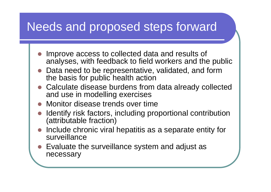#### Needs and proposed steps forward

- O Improve access to collected data and results of analyses, with feedback to field workers and the public
- z Data need to be representative, validated, and form the basis for public health action
- z Calculate disease burdens from data already collected and use in modelling exercises
- $\bullet$ Monitor disease trends over time
- z Identify risk factors, including proportional contribution (attributable fraction)
- $\bullet$  Include chronic viral hepatitis as a separate entity for surveillance
- $\bullet$  Evaluate the surveillance system and adjust as necessary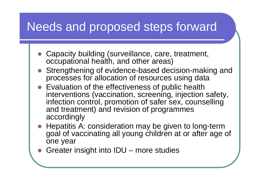#### Needs and proposed steps forward

- Capacity building (surveillance, care, treatment, occupational health, and other areas)
- Strengthening of evidence-based decision-making and processes for allocation of resources using data
- $\bullet$  Evaluation of the effectiveness of public health interventions (vaccination, screening, injection safety, infection control, promotion of safer sex, counselling and treatment) and revision of programmes accordingly
- Hepatitis A: consideration may be given to long-term goal of vaccinating all young children at or after age of one year
- $\bullet$ Greater insight into IDU – more studies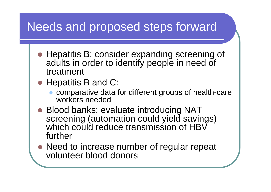#### Needs and proposed steps forward

- Hepatitis B: consider expanding screening of adults in order to identify people in need of treatment
- Hepatitis B and C:
	- $\bullet$  comparative data for different groups of health-care workers needed
- Blood banks: evaluate introducing NAT screening (automation could yield savings) which could reduce transmission of HBV further
- Need to increase number of regular repeat volunteer blood donors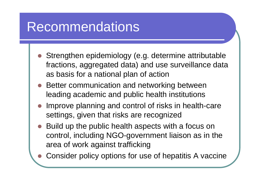## Recommendations

- z Strengthen epidemiology (e.g. determine attributable fractions, aggregated data) and use surveillance data as basis for a national plan of action
- O Better communication and networking between leading academic and public health institutions
- O Improve planning and control of risks in health-care settings, given that risks are recognized
- O Build up the public health aspects with a focus on control, including NGO-government liaison as in the area of work against trafficking
- $\bullet$ Consider policy options for use of hepatitis A vaccine